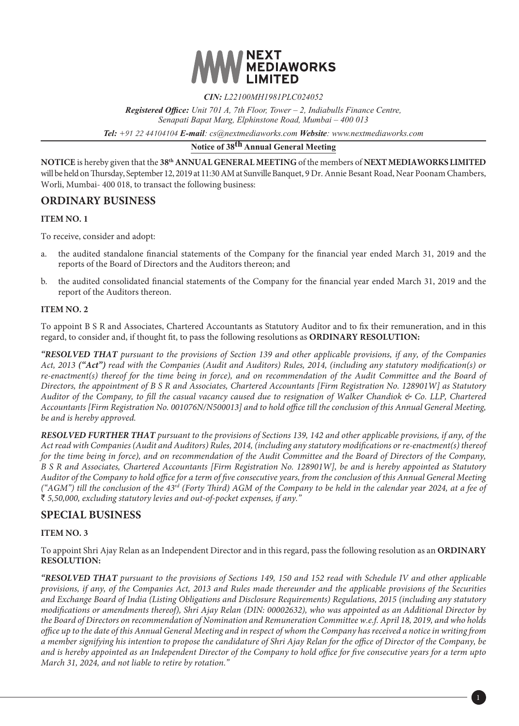

#### *CIN: L22100MH1981PLC024052*

*Registered Office: Unit 701 A, 7th Floor, Tower – 2, Indiabulls Finance Centre, Senapati Bapat Marg, Elphinstone Road, Mumbai – 400 013*

*Tel: +91 22 44104104 E-mail: cs@nextmediaworks.com Website: www.nextmediaworks.com*

# **Notice of 38th Annual General Meeting**

**NOTICE** is hereby given that the **38th ANNUAL GENERAL MEETING** of the members of **NEXT MEDIAWORKS LIMITED** will be held on Thursday, September 12, 2019 at 11:30 AM at Sunville Banquet, 9 Dr. Annie Besant Road, Near Poonam Chambers, Worli, Mumbai- 400 018, to transact the following business:

## **ORDINARY BUSINESS**

#### **ITEM NO. 1**

To receive, consider and adopt:

- a. the audited standalone financial statements of the Company for the financial year ended March 31, 2019 and the reports of the Board of Directors and the Auditors thereon; and
- b. the audited consolidated financial statements of the Company for the financial year ended March 31, 2019 and the report of the Auditors thereon.

#### **ITEM NO. 2**

To appoint B S R and Associates, Chartered Accountants as Statutory Auditor and to fix their remuneration, and in this regard, to consider and, if thought fit, to pass the following resolutions as **ORDINARY RESOLUTION:**

*"RESOLVED THAT pursuant to the provisions of Section 139 and other applicable provisions, if any, of the Companies Act, 2013 ("Act") read with the Companies (Audit and Auditors) Rules, 2014, (including any statutory modification(s) or*  re-enactment(s) thereof for the time being in force), and on recommendation of the Audit Committee and the Board of *Directors, the appointment of B S R and Associates, Chartered Accountants [Firm Registration No. 128901W] as Statutory Auditor of the Company, to fill the casual vacancy caused due to resignation of Walker Chandiok & Co. LLP, Chartered Accountants [Firm Registration No. 001076N/N500013] and to hold office till the conclusion of this Annual General Meeting, be and is hereby approved.*

*RESOLVED FURTHER THAT pursuant to the provisions of Sections 139, 142 and other applicable provisions, if any, of the Act read with Companies (Audit and Auditors) Rules, 2014, (including any statutory modifications or re-enactment(s) thereof for the time being in force), and on recommendation of the Audit Committee and the Board of Directors of the Company, B S R and Associates, Chartered Accountants [Firm Registration No. 128901W], be and is hereby appointed as Statutory Auditor of the Company to hold office for a term of five consecutive years, from the conclusion of this Annual General Meeting ("AGM") till the conclusion of the 43rd (Forty Third) AGM of the Company to be held in the calendar year 2024, at a fee of*  ` *5,50,000, excluding statutory levies and out-of-pocket expenses, if any."*

## **SPECIAL BUSINESS**

#### **ITEM NO. 3**

To appoint Shri Ajay Relan as an Independent Director and in this regard, pass the following resolution as an **ORDINARY RESOLUTION:**

*"RESOLVED THAT pursuant to the provisions of Sections 149, 150 and 152 read with Schedule IV and other applicable provisions, if any, of the Companies Act, 2013 and Rules made thereunder and the applicable provisions of the Securities and Exchange Board of India (Listing Obligations and Disclosure Requirements) Regulations, 2015 (including any statutory modifications or amendments thereof), Shri Ajay Relan (DIN: 00002632), who was appointed as an Additional Director by the Board of Directors on recommendation of Nomination and Remuneration Committee w.e.f. April 18, 2019, and who holds office up to the date of this Annual General Meeting and in respect of whom the Company has received a notice in writing from a member signifying his intention to propose the candidature of Shri Ajay Relan for the office of Director of the Company, be and is hereby appointed as an Independent Director of the Company to hold office for five consecutive years for a term upto March 31, 2024, and not liable to retire by rotation."*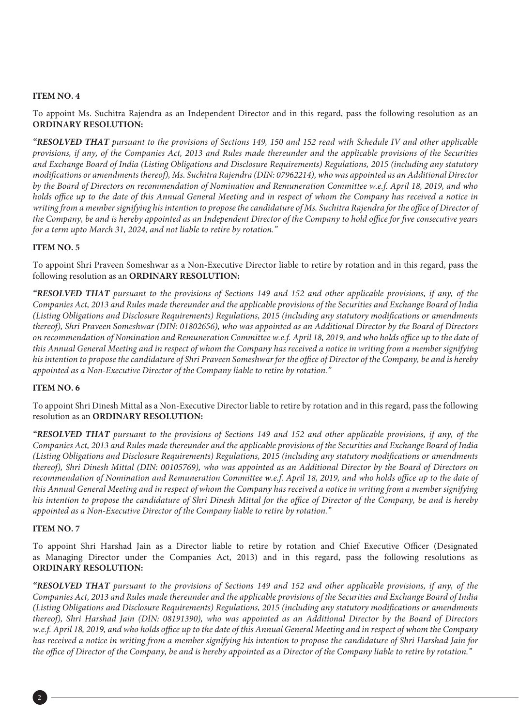#### **ITEM NO. 4**

To appoint Ms. Suchitra Rajendra as an Independent Director and in this regard, pass the following resolution as an **ORDINARY RESOLUTION:**

*"RESOLVED THAT pursuant to the provisions of Sections 149, 150 and 152 read with Schedule IV and other applicable provisions, if any, of the Companies Act, 2013 and Rules made thereunder and the applicable provisions of the Securities and Exchange Board of India (Listing Obligations and Disclosure Requirements) Regulations, 2015 (including any statutory modifications or amendments thereof), Ms. Suchitra Rajendra (DIN: 07962214), who was appointed as an Additional Director by the Board of Directors on recommendation of Nomination and Remuneration Committee w.e.f. April 18, 2019, and who holds office up to the date of this Annual General Meeting and in respect of whom the Company has received a notice in writing from a member signifying his intention to propose the candidature of Ms. Suchitra Rajendra for the office of Director of the Company, be and is hereby appointed as an Independent Director of the Company to hold office for five consecutive years for a term upto March 31, 2024, and not liable to retire by rotation."*

#### **ITEM NO. 5**

To appoint Shri Praveen Someshwar as a Non-Executive Director liable to retire by rotation and in this regard, pass the following resolution as an **ORDINARY RESOLUTION:**

*"RESOLVED THAT pursuant to the provisions of Sections 149 and 152 and other applicable provisions, if any, of the Companies Act, 2013 and Rules made thereunder and the applicable provisions of the Securities and Exchange Board of India (Listing Obligations and Disclosure Requirements) Regulations, 2015 (including any statutory modifications or amendments thereof), Shri Praveen Someshwar (DIN: 01802656), who was appointed as an Additional Director by the Board of Directors on recommendation of Nomination and Remuneration Committee w.e.f. April 18, 2019, and who holds office up to the date of this Annual General Meeting and in respect of whom the Company has received a notice in writing from a member signifying his intention to propose the candidature of Shri Praveen Someshwar for the office of Director of the Company, be and is hereby appointed as a Non-Executive Director of the Company liable to retire by rotation."*

## **ITEM NO. 6**

To appoint Shri Dinesh Mittal as a Non-Executive Director liable to retire by rotation and in this regard, pass the following resolution as an **ORDINARY RESOLUTION:**

*"RESOLVED THAT pursuant to the provisions of Sections 149 and 152 and other applicable provisions, if any, of the Companies Act, 2013 and Rules made thereunder and the applicable provisions of the Securities and Exchange Board of India (Listing Obligations and Disclosure Requirements) Regulations, 2015 (including any statutory modifications or amendments thereof), Shri Dinesh Mittal (DIN: 00105769), who was appointed as an Additional Director by the Board of Directors on*  recommendation of Nomination and Remuneration Committee w.e.f. April 18, 2019, and who holds office up to the date of *this Annual General Meeting and in respect of whom the Company has received a notice in writing from a member signifying his intention to propose the candidature of Shri Dinesh Mittal for the office of Director of the Company, be and is hereby appointed as a Non-Executive Director of the Company liable to retire by rotation."*

#### **ITEM NO. 7**

To appoint Shri Harshad Jain as a Director liable to retire by rotation and Chief Executive Officer (Designated as Managing Director under the Companies Act, 2013) and in this regard, pass the following resolutions as **ORDINARY RESOLUTION:**

*"RESOLVED THAT pursuant to the provisions of Sections 149 and 152 and other applicable provisions, if any, of the Companies Act, 2013 and Rules made thereunder and the applicable provisions of the Securities and Exchange Board of India (Listing Obligations and Disclosure Requirements) Regulations, 2015 (including any statutory modifications or amendments thereof), Shri Harshad Jain (DIN: 08191390), who was appointed as an Additional Director by the Board of Directors w.e.f. April 18, 2019, and who holds office up to the date of this Annual General Meeting and in respect of whom the Company has received a notice in writing from a member signifying his intention to propose the candidature of Shri Harshad Jain for the office of Director of the Company, be and is hereby appointed as a Director of the Company liable to retire by rotation."*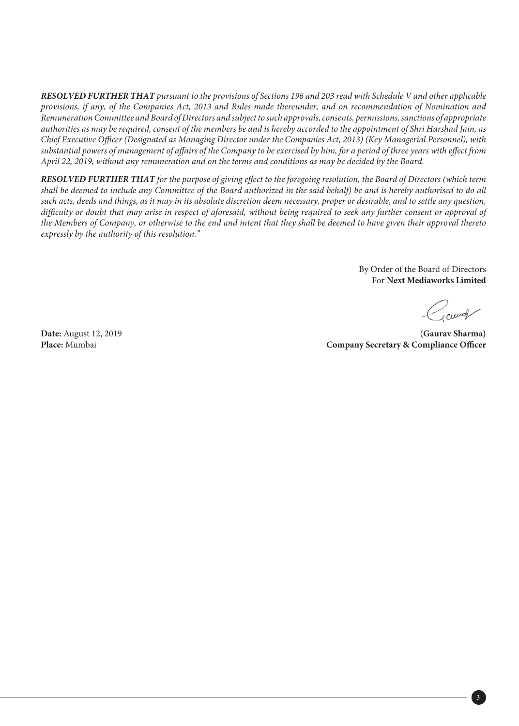*RESOLVED FURTHER THAT pursuant to the provisions of Sections 196 and 203 read with Schedule V and other applicable provisions, if any, of the Companies Act, 2013 and Rules made thereunder, and on recommendation of Nomination and Remuneration Committee and Board of Directors and subject to such approvals, consents, permissions, sanctions of appropriate authorities as may be required, consent of the members be and is hereby accorded to the appointment of Shri Harshad Jain, as Chief Executive Officer (Designated as Managing Director under the Companies Act, 2013) (Key Managerial Personnel), with substantial powers of management of affairs of the Company to be exercised by him, for a period of three years with effect from April 22, 2019, without any remuneration and on the terms and conditions as may be decided by the Board.* 

*RESOLVED FURTHER THAT for the purpose of giving effect to the foregoing resolution, the Board of Directors (which term shall be deemed to include any Committee of the Board authorized in the said behalf) be and is hereby authorised to do all such acts, deeds and things, as it may in its absolute discretion deem necessary, proper or desirable, and to settle any question, difficulty or doubt that may arise in respect of aforesaid, without being required to seek any further consent or approval of the Members of Company, or otherwise to the end and intent that they shall be deemed to have given their approval thereto expressly by the authority of this resolution."*

> By Order of the Board of Directors For **Next Mediaworks Limited**

curd

**Date:** August 12, 2019 (**Gaurav Sharma) Place:** Mumbai **Company Secretary & Compliance Officer**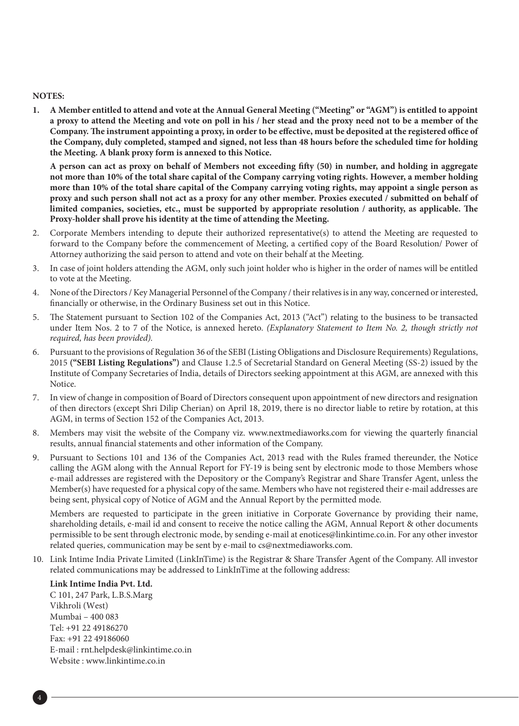#### **NOTES:**

**1. A Member entitled to attend and vote at the Annual General Meeting ("Meeting" or "AGM") is entitled to appoint a proxy to attend the Meeting and vote on poll in his / her stead and the proxy need not to be a member of the Company. The instrument appointing a proxy, in order to be effective, must be deposited at the registered office of the Company, duly completed, stamped and signed, not less than 48 hours before the scheduled time for holding the Meeting. A blank proxy form is annexed to this Notice.**

**A person can act as proxy on behalf of Members not exceeding fifty (50) in number, and holding in aggregate not more than 10% of the total share capital of the Company carrying voting rights. However, a member holding more than 10% of the total share capital of the Company carrying voting rights, may appoint a single person as proxy and such person shall not act as a proxy for any other member. Proxies executed / submitted on behalf of limited companies, societies, etc., must be supported by appropriate resolution / authority, as applicable. The Proxy-holder shall prove his identity at the time of attending the Meeting.**

- 2. Corporate Members intending to depute their authorized representative(s) to attend the Meeting are requested to forward to the Company before the commencement of Meeting, a certified copy of the Board Resolution/ Power of Attorney authorizing the said person to attend and vote on their behalf at the Meeting.
- 3. In case of joint holders attending the AGM, only such joint holder who is higher in the order of names will be entitled to vote at the Meeting.
- 4. None of the Directors / Key Managerial Personnel of the Company / their relatives is in any way, concerned or interested, financially or otherwise, in the Ordinary Business set out in this Notice.
- 5. The Statement pursuant to Section 102 of the Companies Act, 2013 ("Act") relating to the business to be transacted under Item Nos. 2 to 7 of the Notice, is annexed hereto. *(Explanatory Statement to Item No. 2, though strictly not required, has been provided).*
- 6. Pursuant to the provisions of Regulation 36 of the SEBI (Listing Obligations and Disclosure Requirements) Regulations, 2015 **("SEBI Listing Regulations")** and Clause 1.2.5 of Secretarial Standard on General Meeting (SS-2) issued by the Institute of Company Secretaries of India, details of Directors seeking appointment at this AGM, are annexed with this Notice.
- 7. In view of change in composition of Board of Directors consequent upon appointment of new directors and resignation of then directors (except Shri Dilip Cherian) on April 18, 2019, there is no director liable to retire by rotation, at this AGM, in terms of Section 152 of the Companies Act, 2013.
- 8. Members may visit the website of the Company viz. www.nextmediaworks.com for viewing the quarterly financial results, annual financial statements and other information of the Company.
- 9. Pursuant to Sections 101 and 136 of the Companies Act, 2013 read with the Rules framed thereunder, the Notice calling the AGM along with the Annual Report for FY-19 is being sent by electronic mode to those Members whose e-mail addresses are registered with the Depository or the Company's Registrar and Share Transfer Agent, unless the Member(s) have requested for a physical copy of the same. Members who have not registered their e-mail addresses are being sent, physical copy of Notice of AGM and the Annual Report by the permitted mode.

Members are requested to participate in the green initiative in Corporate Governance by providing their name, shareholding details, e-mail id and consent to receive the notice calling the AGM, Annual Report & other documents permissible to be sent through electronic mode, by sending e-mail at enotices@linkintime.co.in. For any other investor related queries, communication may be sent by e-mail to cs@nextmediaworks.com.

10. Link Intime India Private Limited (LinkInTime) is the Registrar & Share Transfer Agent of the Company. All investor related communications may be addressed to LinkInTime at the following address:

#### **Link Intime India Pvt. Ltd.**

C 101, 247 Park, L.B.S.Marg Vikhroli (West) Mumbai – 400 083 Tel: +91 22 49186270 Fax: +91 22 49186060 E-mail : rnt.helpdesk@linkintime.co.in Website : www.linkintime.co.in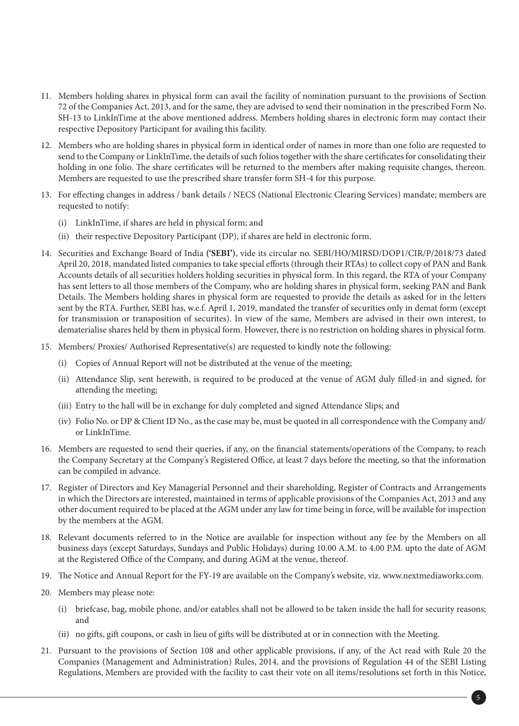- 11. Members holding shares in physical form can avail the facility of nomination pursuant to the provisions of Section 72 of the Companies Act, 2013, and for the same, they are advised to send their nomination in the prescribed Form No. SH-13 to LinkInTime at the above mentioned address. Members holding shares in electronic form may contact their respective Depository Participant for availing this facility.
- 12. Members who are holding shares in physical form in identical order of names in more than one folio are requested to send to the Company or LinkInTime, the details of such folios together with the share certificates for consolidating their holding in one folio. The share certificates will be returned to the members after making requisite changes, thereon. Members are requested to use the prescribed share transfer form SH-4 for this purpose.
- 13. For effecting changes in address / bank details / NECS (National Electronic Clearing Services) mandate; members are requested to notify:
	- (i) LinkInTime, if shares are held in physical form; and
	- (ii) their respective Depository Participant (DP), if shares are held in electronic form.
- 14. Securities and Exchange Board of India **('SEBI')**, vide its circular no. SEBI/HO/MIRSD/DOP1/CIR/P/2018/73 dated April 20, 2018, mandated listed companies to take special efforts (through their RTAs) to collect copy of PAN and Bank Accounts details of all securities holders holding securities in physical form. In this regard, the RTA of your Company has sent letters to all those members of the Company, who are holding shares in physical form, seeking PAN and Bank Details. The Members holding shares in physical form are requested to provide the details as asked for in the letters sent by the RTA. Further, SEBI has, w.e.f. April 1, 2019, mandated the transfer of securities only in demat form (except for transmission or transposition of securites). In view of the same, Members are advised in their own interest, to dematerialise shares held by them in physical form. However, there is no restriction on holding shares in physical form.
- 15. Members/ Proxies/ Authorised Representative(s) are requested to kindly note the following:
	- (i) Copies of Annual Report will not be distributed at the venue of the meeting;
	- (ii) Attendance Slip, sent herewith, is required to be produced at the venue of AGM duly filled-in and signed, for attending the meeting;
	- (iii) Entry to the hall will be in exchange for duly completed and signed Attendance Slips; and
	- (iv) Folio No. or DP & Client ID No., as the case may be, must be quoted in all correspondence with the Company and/ or LinkInTime.
- 16. Members are requested to send their queries, if any, on the financial statements/operations of the Company, to reach the Company Secretary at the Company's Registered Office, at least 7 days before the meeting, so that the information can be compiled in advance.
- 17. Register of Directors and Key Managerial Personnel and their shareholding, Register of Contracts and Arrangements in which the Directors are interested, maintained in terms of applicable provisions of the Companies Act, 2013 and any other document required to be placed at the AGM under any law for time being in force, will be available for inspection by the members at the AGM.
- 18. Relevant documents referred to in the Notice are available for inspection without any fee by the Members on all business days (except Saturdays, Sundays and Public Holidays) during 10.00 A.M. to 4.00 P.M. upto the date of AGM at the Registered Office of the Company, and during AGM at the venue, thereof.
- 19. The Notice and Annual Report for the FY-19 are available on the Company's website, viz. www.nextmediaworks.com.
- 20. Members may please note:
	- (i) briefcase, bag, mobile phone, and/or eatables shall not be allowed to be taken inside the hall for security reasons; and
	- (ii) no gifts, gift coupons, or cash in lieu of gifts will be distributed at or in connection with the Meeting.
- 21. Pursuant to the provisions of Section 108 and other applicable provisions, if any, of the Act read with Rule 20 the Companies (Management and Administration) Rules, 2014, and the provisions of Regulation 44 of the SEBI Listing Regulations, Members are provided with the facility to cast their vote on all items/resolutions set forth in this Notice,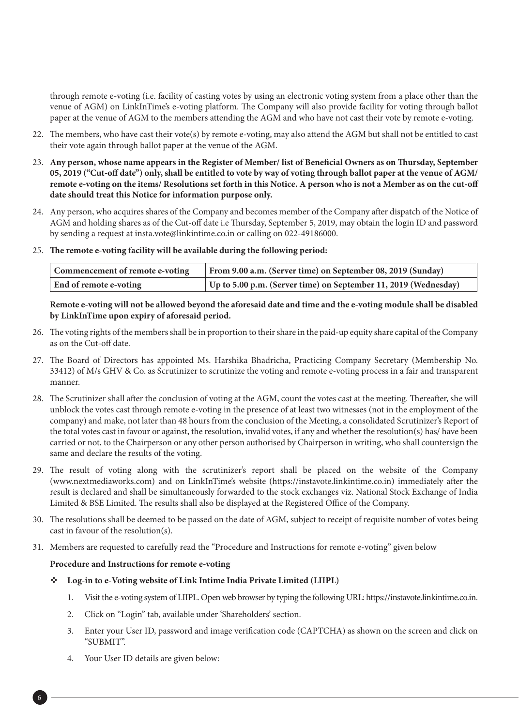through remote e-voting (i.e. facility of casting votes by using an electronic voting system from a place other than the venue of AGM) on LinkInTime's e-voting platform. The Company will also provide facility for voting through ballot paper at the venue of AGM to the members attending the AGM and who have not cast their vote by remote e-voting.

- 22. The members, who have cast their vote(s) by remote e-voting, may also attend the AGM but shall not be entitled to cast their vote again through ballot paper at the venue of the AGM.
- 23. **Any person, whose name appears in the Register of Member/ list of Beneficial Owners as on Thursday, September 05, 2019 ("Cut-off date") only, shall be entitled to vote by way of voting through ballot paper at the venue of AGM/ remote e-voting on the items/ Resolutions set forth in this Notice. A person who is not a Member as on the cut-off date should treat this Notice for information purpose only.**
- 24. Any person, who acquires shares of the Company and becomes member of the Company after dispatch of the Notice of AGM and holding shares as of the Cut-off date i.e Thursday, September 5, 2019, may obtain the login ID and password by sending a request at insta.vote@linkintime.co.in or calling on 022-49186000.
- 25. **The remote e-voting facility will be available during the following period:**

| Commencement of remote e-voting | From 9.00 a.m. (Server time) on September 08, 2019 (Sunday)     |
|---------------------------------|-----------------------------------------------------------------|
| End of remote e-voting          | Up to 5.00 p.m. (Server time) on September 11, 2019 (Wednesday) |

#### **Remote e-voting will not be allowed beyond the aforesaid date and time and the e-voting module shall be disabled by LinkInTime upon expiry of aforesaid period.**

- 26. The voting rights of the members shall be in proportion to their share in the paid-up equity share capital of the Company as on the Cut-off date.
- 27. The Board of Directors has appointed Ms. Harshika Bhadricha, Practicing Company Secretary (Membership No. 33412) of M/s GHV & Co. as Scrutinizer to scrutinize the voting and remote e-voting process in a fair and transparent manner.
- 28. The Scrutinizer shall after the conclusion of voting at the AGM, count the votes cast at the meeting. Thereafter, she will unblock the votes cast through remote e-voting in the presence of at least two witnesses (not in the employment of the company) and make, not later than 48 hours from the conclusion of the Meeting, a consolidated Scrutinizer's Report of the total votes cast in favour or against, the resolution, invalid votes, if any and whether the resolution(s) has/ have been carried or not, to the Chairperson or any other person authorised by Chairperson in writing, who shall countersign the same and declare the results of the voting.
- 29. The result of voting along with the scrutinizer's report shall be placed on the website of the Company (www.nextmediaworks.com) and on LinkInTime's website (https://instavote.linkintime.co.in) immediately after the result is declared and shall be simultaneously forwarded to the stock exchanges viz. National Stock Exchange of India Limited & BSE Limited. The results shall also be displayed at the Registered Office of the Company.
- 30. The resolutions shall be deemed to be passed on the date of AGM, subject to receipt of requisite number of votes being cast in favour of the resolution(s).
- 31. Members are requested to carefully read the "Procedure and Instructions for remote e-voting" given below

#### **Procedure and Instructions for remote e-voting**

- **Log-in to e-Voting website of Link Intime India Private Limited (LIIPL)**
	- 1. Visit the e-voting system of LIIPL. Open web browser by typing the following URL: https://instavote.linkintime.co.in.
	- 2. Click on "Login" tab, available under 'Shareholders' section.
	- 3. Enter your User ID, password and image verification code (CAPTCHA) as shown on the screen and click on "SUBMIT".
	- 4. Your User ID details are given below: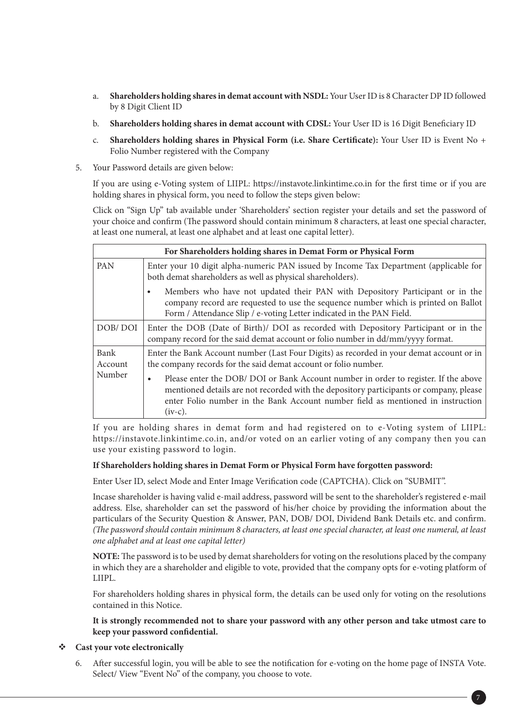- a. **Shareholders holding shares in demat account with NSDL:** Your User ID is 8 Character DP ID followed by 8 Digit Client ID
- b. **Shareholders holding shares in demat account with CDSL:** Your User ID is 16 Digit Beneficiary ID
- c. **Shareholders holding shares in Physical Form (i.e. Share Certificate):** Your User ID is Event No + Folio Number registered with the Company
- 5. Your Password details are given below:

 If you are using e-Voting system of LIIPL: https://instavote.linkintime.co.in for the first time or if you are holding shares in physical form, you need to follow the steps given below:

 Click on "Sign Up" tab available under 'Shareholders' section register your details and set the password of your choice and confirm (The password should contain minimum 8 characters, at least one special character, at least one numeral, at least one alphabet and at least one capital letter).

| For Shareholders holding shares in Demat Form or Physical Form |                                                                                                                                                                                                                                                                               |  |  |  |  |  |  |
|----------------------------------------------------------------|-------------------------------------------------------------------------------------------------------------------------------------------------------------------------------------------------------------------------------------------------------------------------------|--|--|--|--|--|--|
| <b>PAN</b>                                                     | Enter your 10 digit alpha-numeric PAN issued by Income Tax Department (applicable for<br>both demat shareholders as well as physical shareholders).                                                                                                                           |  |  |  |  |  |  |
|                                                                | Members who have not updated their PAN with Depository Participant or in the<br>company record are requested to use the sequence number which is printed on Ballot<br>Form / Attendance Slip / e-voting Letter indicated in the PAN Field.                                    |  |  |  |  |  |  |
| DOB/DOI                                                        | Enter the DOB (Date of Birth)/ DOI as recorded with Depository Participant or in the<br>company record for the said demat account or folio number in dd/mm/yyyy format.                                                                                                       |  |  |  |  |  |  |
| Bank<br>Account                                                | Enter the Bank Account number (Last Four Digits) as recorded in your demat account or in<br>the company records for the said demat account or folio number.                                                                                                                   |  |  |  |  |  |  |
| Number                                                         | Please enter the DOB/ DOI or Bank Account number in order to register. If the above<br>mentioned details are not recorded with the depository participants or company, please<br>enter Folio number in the Bank Account number field as mentioned in instruction<br>$(iv-c).$ |  |  |  |  |  |  |

 If you are holding shares in demat form and had registered on to e-Voting system of LIIPL: https://instavote.linkintime.co.in, and/or voted on an earlier voting of any company then you can use your existing password to login.

#### **If Shareholders holding shares in Demat Form or Physical Form have forgotten password:**

Enter User ID, select Mode and Enter Image Verification code (CAPTCHA). Click on "SUBMIT".

 Incase shareholder is having valid e-mail address, password will be sent to the shareholder's registered e-mail address. Else, shareholder can set the password of his/her choice by providing the information about the particulars of the Security Question & Answer, PAN, DOB/ DOI, Dividend Bank Details etc. and confirm. *(The password should contain minimum 8 characters, at least one special character, at least one numeral, at least one alphabet and at least one capital letter)*

 **NOTE:** The password is to be used by demat shareholders for voting on the resolutions placed by the company in which they are a shareholder and eligible to vote, provided that the company opts for e-voting platform of LIIPL.

 For shareholders holding shares in physical form, the details can be used only for voting on the resolutions contained in this Notice.

 **It is strongly recommended not to share your password with any other person and take utmost care to keep your password confidential.**

#### **Cast your vote electronically**

 6. After successful login, you will be able to see the notification for e-voting on the home page of INSTA Vote. Select/ View "Event No" of the company, you choose to vote.

7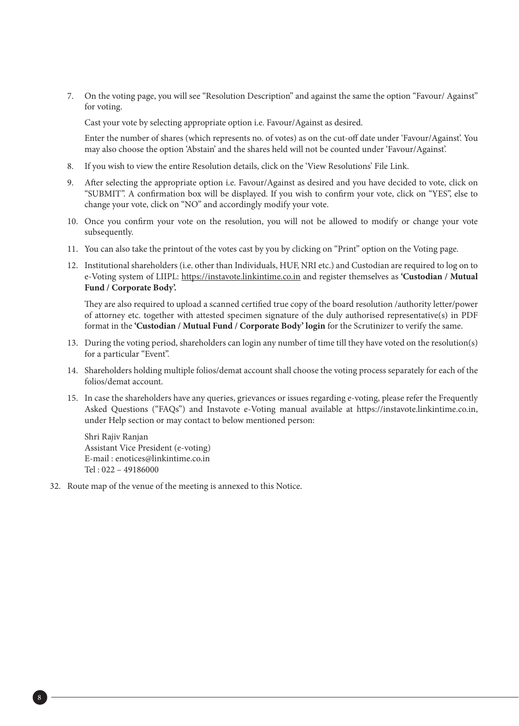7. On the voting page, you will see "Resolution Description" and against the same the option "Favour/ Against" for voting.

Cast your vote by selecting appropriate option i.e. Favour/Against as desired.

 Enter the number of shares (which represents no. of votes) as on the cut-off date under 'Favour/Against'. You may also choose the option 'Abstain' and the shares held will not be counted under 'Favour/Against'.

- 8. If you wish to view the entire Resolution details, click on the 'View Resolutions' File Link.
- 9. After selecting the appropriate option i.e. Favour/Against as desired and you have decided to vote, click on "SUBMIT". A confirmation box will be displayed. If you wish to confirm your vote, click on "YES", else to change your vote, click on "NO" and accordingly modify your vote.
- 10. Once you confirm your vote on the resolution, you will not be allowed to modify or change your vote subsequently.
- 11. You can also take the printout of the votes cast by you by clicking on "Print" option on the Voting page.
- 12. Institutional shareholders (i.e. other than Individuals, HUF, NRI etc.) and Custodian are required to log on to e-Voting system of LIIPL: https://instavote.linkintime.co.in and register themselves as **'Custodian / Mutual Fund / Corporate Body'.**

 They are also required to upload a scanned certified true copy of the board resolution /authority letter/power of attorney etc. together with attested specimen signature of the duly authorised representative(s) in PDF format in the **'Custodian / Mutual Fund / Corporate Body' login** for the Scrutinizer to verify the same.

- 13. During the voting period, shareholders can login any number of time till they have voted on the resolution(s) for a particular "Event".
- 14. Shareholders holding multiple folios/demat account shall choose the voting process separately for each of the folios/demat account.
- 15. In case the shareholders have any queries, grievances or issues regarding e-voting, please refer the Frequently Asked Questions ("FAQs") and Instavote e-Voting manual available at https://instavote.linkintime.co.in, under Help section or may contact to below mentioned person:

 Shri Rajiv Ranjan Assistant Vice President (e-voting) E-mail : enotices@linkintime.co.in Tel : 022 – 49186000

32. Route map of the venue of the meeting is annexed to this Notice.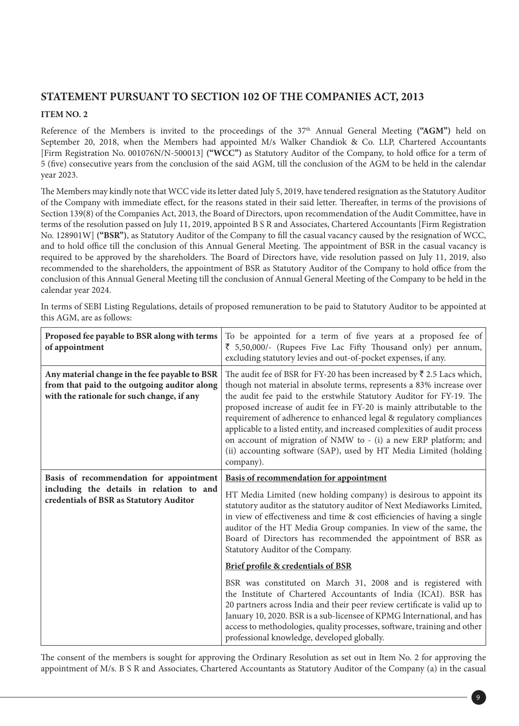# **STATEMENT PURSUANT TO SECTION 102 OF THE COMPANIES ACT, 2013**

## **ITEM NO. 2**

Reference of the Members is invited to the proceedings of the 37th Annual General Meeting **("AGM")** held on September 20, 2018, when the Members had appointed M/s Walker Chandiok & Co. LLP, Chartered Accountants [Firm Registration No. 001076N/N-500013] **("WCC")** as Statutory Auditor of the Company, to hold office for a term of 5 (five) consecutive years from the conclusion of the said AGM, till the conclusion of the AGM to be held in the calendar year 2023.

The Members may kindly note that WCC vide its letter dated July 5, 2019, have tendered resignation as the Statutory Auditor of the Company with immediate effect, for the reasons stated in their said letter. Thereafter, in terms of the provisions of Section 139(8) of the Companies Act, 2013, the Board of Directors, upon recommendation of the Audit Committee, have in terms of the resolution passed on July 11, 2019, appointed B S R and Associates, Chartered Accountants [Firm Registration No. 128901W] **("BSR")**, as Statutory Auditor of the Company to fill the casual vacancy caused by the resignation of WCC, and to hold office till the conclusion of this Annual General Meeting. The appointment of BSR in the casual vacancy is required to be approved by the shareholders. The Board of Directors have, vide resolution passed on July 11, 2019, also recommended to the shareholders, the appointment of BSR as Statutory Auditor of the Company to hold office from the conclusion of this Annual General Meeting till the conclusion of Annual General Meeting of the Company to be held in the calendar year 2024.

| Proposed fee payable to BSR along with terms<br>of appointment                                                                              | To be appointed for a term of five years at a proposed fee of<br>₹ 5,50,000/- (Rupees Five Lac Fifty Thousand only) per annum,<br>excluding statutory levies and out-of-pocket expenses, if any.                                                                                                                                                                                                                                                                                                                                                                                                                          |  |  |  |
|---------------------------------------------------------------------------------------------------------------------------------------------|---------------------------------------------------------------------------------------------------------------------------------------------------------------------------------------------------------------------------------------------------------------------------------------------------------------------------------------------------------------------------------------------------------------------------------------------------------------------------------------------------------------------------------------------------------------------------------------------------------------------------|--|--|--|
| Any material change in the fee payable to BSR<br>from that paid to the outgoing auditor along<br>with the rationale for such change, if any | The audit fee of BSR for FY-20 has been increased by $\overline{\xi}$ 2.5 Lacs which,<br>though not material in absolute terms, represents a 83% increase over<br>the audit fee paid to the erstwhile Statutory Auditor for FY-19. The<br>proposed increase of audit fee in FY-20 is mainly attributable to the<br>requirement of adherence to enhanced legal & regulatory compliances<br>applicable to a listed entity, and increased complexities of audit process<br>on account of migration of NMW to - (i) a new ERP platform; and<br>(ii) accounting software (SAP), used by HT Media Limited (holding<br>company). |  |  |  |
| Basis of recommendation for appointment                                                                                                     | <b>Basis of recommendation for appointment</b>                                                                                                                                                                                                                                                                                                                                                                                                                                                                                                                                                                            |  |  |  |
| including the details in relation to and<br>credentials of BSR as Statutory Auditor                                                         | HT Media Limited (new holding company) is desirous to appoint its<br>statutory auditor as the statutory auditor of Next Mediaworks Limited,<br>in view of effectiveness and time & cost efficiencies of having a single<br>auditor of the HT Media Group companies. In view of the same, the<br>Board of Directors has recommended the appointment of BSR as<br>Statutory Auditor of the Company.                                                                                                                                                                                                                         |  |  |  |
|                                                                                                                                             | Brief profile & credentials of BSR                                                                                                                                                                                                                                                                                                                                                                                                                                                                                                                                                                                        |  |  |  |
|                                                                                                                                             | BSR was constituted on March 31, 2008 and is registered with<br>the Institute of Chartered Accountants of India (ICAI). BSR has<br>20 partners across India and their peer review certificate is valid up to<br>January 10, 2020. BSR is a sub-licensee of KPMG International, and has<br>access to methodologies, quality processes, software, training and other<br>professional knowledge, developed globally.                                                                                                                                                                                                         |  |  |  |

In terms of SEBI Listing Regulations, details of proposed remuneration to be paid to Statutory Auditor to be appointed at this AGM, are as follows:

The consent of the members is sought for approving the Ordinary Resolution as set out in Item No. 2 for approving the appointment of M/s. B S R and Associates, Chartered Accountants as Statutory Auditor of the Company (a) in the casual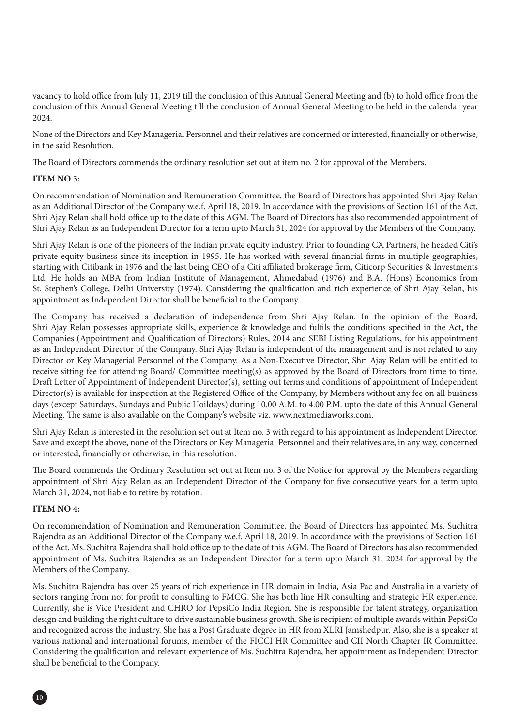vacancy to hold office from July 11, 2019 till the conclusion of this Annual General Meeting and (b) to hold office from the conclusion of this Annual General Meeting till the conclusion of Annual General Meeting to be held in the calendar year 2024.

None of the Directors and Key Managerial Personnel and their relatives are concerned or interested, financially or otherwise, in the said Resolution.

The Board of Directors commends the ordinary resolution set out at item no. 2 for approval of the Members.

#### **ITEM NO 3:**

On recommendation of Nomination and Remuneration Committee, the Board of Directors has appointed Shri Ajay Relan as an Additional Director of the Company w.e.f. April 18, 2019. In accordance with the provisions of Section 161 of the Act, Shri Ajay Relan shall hold office up to the date of this AGM. The Board of Directors has also recommended appointment of Shri Ajay Relan as an Independent Director for a term upto March 31, 2024 for approval by the Members of the Company.

Shri Ajay Relan is one of the pioneers of the Indian private equity industry. Prior to founding CX Partners, he headed Citi's private equity business since its inception in 1995. He has worked with several financial firms in multiple geographies, starting with Citibank in 1976 and the last being CEO of a Citi affiliated brokerage firm, Citicorp Securities & Investments Ltd. He holds an MBA from Indian Institute of Management, Ahmedabad (1976) and B.A. (Hons) Economics from St. Stephen's College, Delhi University (1974). Considering the qualification and rich experience of Shri Ajay Relan, his appointment as Independent Director shall be beneficial to the Company.

The Company has received a declaration of independence from Shri Ajay Relan. In the opinion of the Board, Shri Ajay Relan possesses appropriate skills, experience & knowledge and fulfils the conditions specified in the Act, the Companies (Appointment and Qualification of Directors) Rules, 2014 and SEBI Listing Regulations, for his appointment as an Independent Director of the Company. Shri Ajay Relan is independent of the management and is not related to any Director or Key Managerial Personnel of the Company. As a Non-Executive Director, Shri Ajay Relan will be entitled to receive sitting fee for attending Board/ Committee meeting(s) as approved by the Board of Directors from time to time. Draft Letter of Appointment of Independent Director(s), setting out terms and conditions of appointment of Independent Director(s) is available for inspection at the Registered Office of the Company, by Members without any fee on all business days (except Saturdays, Sundays and Public Hoildays) during 10.00 A.M. to 4.00 P.M. upto the date of this Annual General Meeting. The same is also available on the Company's website viz. www.nextmediaworks.com.

Shri Ajay Relan is interested in the resolution set out at Item no. 3 with regard to his appointment as Independent Director. Save and except the above, none of the Directors or Key Managerial Personnel and their relatives are, in any way, concerned or interested, financially or otherwise, in this resolution.

The Board commends the Ordinary Resolution set out at Item no. 3 of the Notice for approval by the Members regarding appointment of Shri Ajay Relan as an Independent Director of the Company for five consecutive years for a term upto March 31, 2024, not liable to retire by rotation.

#### **ITEM NO 4:**

On recommendation of Nomination and Remuneration Committee, the Board of Directors has appointed Ms. Suchitra Rajendra as an Additional Director of the Company w.e.f. April 18, 2019. In accordance with the provisions of Section 161 of the Act, Ms. Suchitra Rajendra shall hold office up to the date of this AGM. The Board of Directors has also recommended appointment of Ms. Suchitra Rajendra as an Independent Director for a term upto March 31, 2024 for approval by the Members of the Company.

Ms. Suchitra Rajendra has over 25 years of rich experience in HR domain in India, Asia Pac and Australia in a variety of sectors ranging from not for profit to consulting to FMCG. She has both line HR consulting and strategic HR experience. Currently, she is Vice President and CHRO for PepsiCo India Region. She is responsible for talent strategy, organization design and building the right culture to drive sustainable business growth. She is recipient of multiple awards within PepsiCo and recognized across the industry. She has a Post Graduate degree in HR from XLRI Jamshedpur. Also, she is a speaker at various national and international forums, member of the FICCI HR Committee and CII North Chapter IR Committee. Considering the qualification and relevant experience of Ms. Suchitra Rajendra, her appointment as Independent Director shall be beneficial to the Company.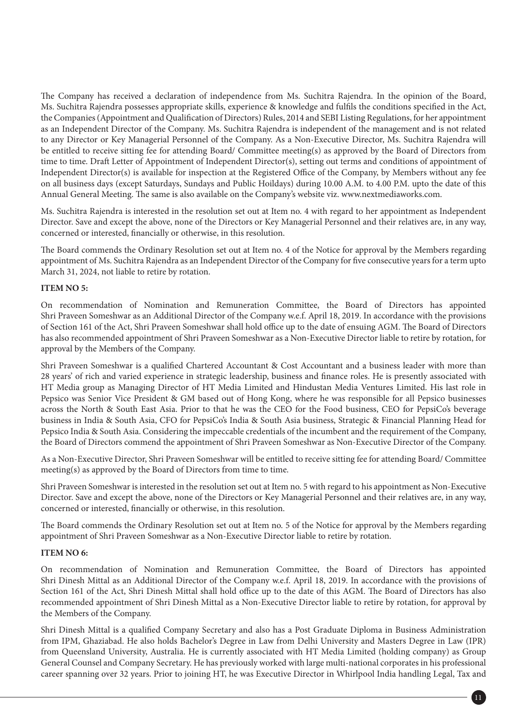The Company has received a declaration of independence from Ms. Suchitra Rajendra. In the opinion of the Board, Ms. Suchitra Rajendra possesses appropriate skills, experience & knowledge and fulfils the conditions specified in the Act, the Companies (Appointment and Qualification of Directors) Rules, 2014 and SEBI Listing Regulations, for her appointment as an Independent Director of the Company. Ms. Suchitra Rajendra is independent of the management and is not related to any Director or Key Managerial Personnel of the Company. As a Non-Executive Director, Ms. Suchitra Rajendra will be entitled to receive sitting fee for attending Board/ Committee meeting(s) as approved by the Board of Directors from time to time. Draft Letter of Appointment of Independent Director(s), setting out terms and conditions of appointment of Independent Director(s) is available for inspection at the Registered Office of the Company, by Members without any fee on all business days (except Saturdays, Sundays and Public Hoildays) during 10.00 A.M. to 4.00 P.M. upto the date of this Annual General Meeting. The same is also available on the Company's website viz. www.nextmediaworks.com.

Ms. Suchitra Rajendra is interested in the resolution set out at Item no. 4 with regard to her appointment as Independent Director. Save and except the above, none of the Directors or Key Managerial Personnel and their relatives are, in any way, concerned or interested, financially or otherwise, in this resolution.

The Board commends the Ordinary Resolution set out at Item no. 4 of the Notice for approval by the Members regarding appointment of Ms. Suchitra Rajendra as an Independent Director of the Company for five consecutive years for a term upto March 31, 2024, not liable to retire by rotation.

#### **ITEM NO 5:**

On recommendation of Nomination and Remuneration Committee, the Board of Directors has appointed Shri Praveen Someshwar as an Additional Director of the Company w.e.f. April 18, 2019. In accordance with the provisions of Section 161 of the Act, Shri Praveen Someshwar shall hold office up to the date of ensuing AGM. The Board of Directors has also recommended appointment of Shri Praveen Someshwar as a Non-Executive Director liable to retire by rotation, for approval by the Members of the Company.

Shri Praveen Someshwar is a qualified Chartered Accountant & Cost Accountant and a business leader with more than 28 years' of rich and varied experience in strategic leadership, business and finance roles. He is presently associated with HT Media group as Managing Director of HT Media Limited and Hindustan Media Ventures Limited. His last role in Pepsico was Senior Vice President & GM based out of Hong Kong, where he was responsible for all Pepsico businesses across the North & South East Asia. Prior to that he was the CEO for the Food business, CEO for PepsiCo's beverage business in India & South Asia, CFO for PepsiCo's India & South Asia business, Strategic & Financial Planning Head for Pepsico India & South Asia. Considering the impeccable credentials of the incumbent and the requirement of the Company, the Board of Directors commend the appointment of Shri Praveen Someshwar as Non-Executive Director of the Company.

As a Non-Executive Director, Shri Praveen Someshwar will be entitled to receive sitting fee for attending Board/ Committee meeting(s) as approved by the Board of Directors from time to time.

Shri Praveen Someshwar is interested in the resolution set out at Item no. 5 with regard to his appointment as Non-Executive Director. Save and except the above, none of the Directors or Key Managerial Personnel and their relatives are, in any way, concerned or interested, financially or otherwise, in this resolution.

The Board commends the Ordinary Resolution set out at Item no. 5 of the Notice for approval by the Members regarding appointment of Shri Praveen Someshwar as a Non-Executive Director liable to retire by rotation.

### **ITEM NO 6:**

On recommendation of Nomination and Remuneration Committee, the Board of Directors has appointed Shri Dinesh Mittal as an Additional Director of the Company w.e.f. April 18, 2019. In accordance with the provisions of Section 161 of the Act, Shri Dinesh Mittal shall hold office up to the date of this AGM. The Board of Directors has also recommended appointment of Shri Dinesh Mittal as a Non-Executive Director liable to retire by rotation, for approval by the Members of the Company.

Shri Dinesh Mittal is a qualified Company Secretary and also has a Post Graduate Diploma in Business Administration from IPM, Ghaziabad. He also holds Bachelor's Degree in Law from Delhi University and Masters Degree in Law (IPR) from Queensland University, Australia. He is currently associated with HT Media Limited (holding company) as Group General Counsel and Company Secretary. He has previously worked with large multi-national corporates in his professional career spanning over 32 years. Prior to joining HT, he was Executive Director in Whirlpool India handling Legal, Tax and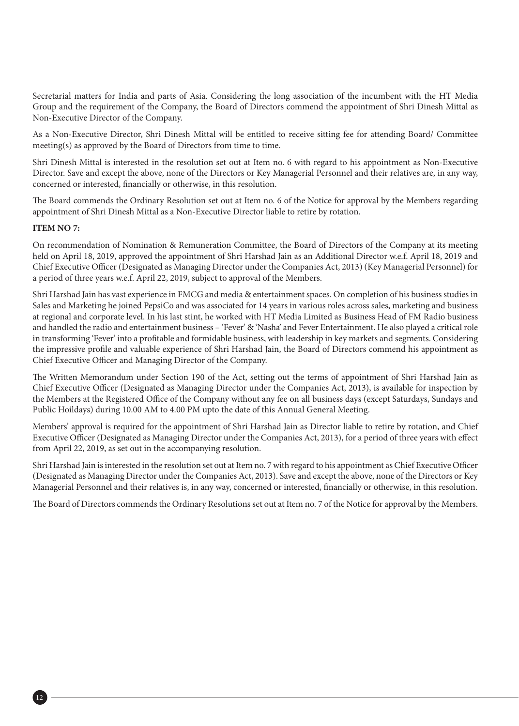Secretarial matters for India and parts of Asia. Considering the long association of the incumbent with the HT Media Group and the requirement of the Company, the Board of Directors commend the appointment of Shri Dinesh Mittal as Non-Executive Director of the Company.

As a Non-Executive Director, Shri Dinesh Mittal will be entitled to receive sitting fee for attending Board/ Committee meeting(s) as approved by the Board of Directors from time to time.

Shri Dinesh Mittal is interested in the resolution set out at Item no. 6 with regard to his appointment as Non-Executive Director. Save and except the above, none of the Directors or Key Managerial Personnel and their relatives are, in any way, concerned or interested, financially or otherwise, in this resolution.

The Board commends the Ordinary Resolution set out at Item no. 6 of the Notice for approval by the Members regarding appointment of Shri Dinesh Mittal as a Non-Executive Director liable to retire by rotation.

#### **ITEM NO 7:**

On recommendation of Nomination & Remuneration Committee, the Board of Directors of the Company at its meeting held on April 18, 2019, approved the appointment of Shri Harshad Jain as an Additional Director w.e.f. April 18, 2019 and Chief Executive Officer (Designated as Managing Director under the Companies Act, 2013) (Key Managerial Personnel) for a period of three years w.e.f. April 22, 2019, subject to approval of the Members.

Shri Harshad Jain has vast experience in FMCG and media & entertainment spaces. On completion of his business studies in Sales and Marketing he joined PepsiCo and was associated for 14 years in various roles across sales, marketing and business at regional and corporate level. In his last stint, he worked with HT Media Limited as Business Head of FM Radio business and handled the radio and entertainment business – 'Fever' & 'Nasha' and Fever Entertainment. He also played a critical role in transforming 'Fever' into a profitable and formidable business, with leadership in key markets and segments. Considering the impressive profile and valuable experience of Shri Harshad Jain, the Board of Directors commend his appointment as Chief Executive Officer and Managing Director of the Company.

The Written Memorandum under Section 190 of the Act, setting out the terms of appointment of Shri Harshad Jain as Chief Executive Officer (Designated as Managing Director under the Companies Act, 2013), is available for inspection by the Members at the Registered Office of the Company without any fee on all business days (except Saturdays, Sundays and Public Hoildays) during 10.00 AM to 4.00 PM upto the date of this Annual General Meeting.

Members' approval is required for the appointment of Shri Harshad Jain as Director liable to retire by rotation, and Chief Executive Officer (Designated as Managing Director under the Companies Act, 2013), for a period of three years with effect from April 22, 2019, as set out in the accompanying resolution.

Shri Harshad Jain is interested in the resolution set out at Item no. 7 with regard to his appointment as Chief Executive Officer (Designated as Managing Director under the Companies Act, 2013). Save and except the above, none of the Directors or Key Managerial Personnel and their relatives is, in any way, concerned or interested, financially or otherwise, in this resolution.

The Board of Directors commends the Ordinary Resolutions set out at Item no. 7 of the Notice for approval by the Members.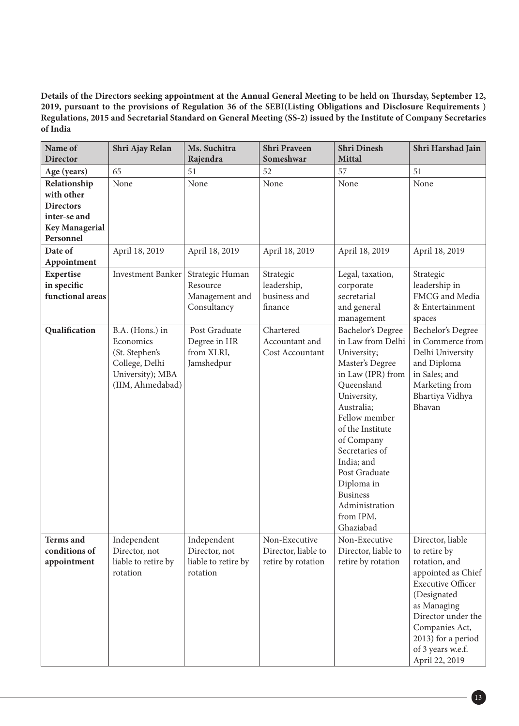**Details of the Directors seeking appointment at the Annual General Meeting to be held on Thursday, September 12, 2019, pursuant to the provisions of Regulation 36 of the SEBI(Listing Obligations and Disclosure Requirements ) Regulations, 2015 and Secretarial Standard on General Meeting (SS-2) issued by the Institute of Company Secretaries of India**

| Name of<br><b>Director</b>                                                                           | Shri Ajay Relan                                                                                          | Ms. Suchitra<br>Rajendra                                        | <b>Shri Praveen</b><br>Someshwar                           | <b>Shri Dinesh</b><br><b>Mittal</b>                                                                                                                                                                                                                                                                                       | Shri Harshad Jain                                                                                                                                                                                                                      |
|------------------------------------------------------------------------------------------------------|----------------------------------------------------------------------------------------------------------|-----------------------------------------------------------------|------------------------------------------------------------|---------------------------------------------------------------------------------------------------------------------------------------------------------------------------------------------------------------------------------------------------------------------------------------------------------------------------|----------------------------------------------------------------------------------------------------------------------------------------------------------------------------------------------------------------------------------------|
| Age (years)                                                                                          | 65                                                                                                       | 51                                                              | 52                                                         | 57                                                                                                                                                                                                                                                                                                                        | 51                                                                                                                                                                                                                                     |
| Relationship<br>with other<br><b>Directors</b><br>inter-se and<br><b>Key Managerial</b><br>Personnel | None                                                                                                     | None                                                            | None                                                       | None                                                                                                                                                                                                                                                                                                                      | None                                                                                                                                                                                                                                   |
| Date of<br>Appointment                                                                               | April 18, 2019                                                                                           | April 18, 2019                                                  | April 18, 2019                                             | April 18, 2019                                                                                                                                                                                                                                                                                                            | April 18, 2019                                                                                                                                                                                                                         |
| Expertise<br>in specific<br>functional areas                                                         | <b>Investment Banker</b>                                                                                 | Strategic Human<br>Resource<br>Management and<br>Consultancy    | Strategic<br>leadership,<br>business and<br>finance        | Legal, taxation,<br>corporate<br>secretarial<br>and general<br>management                                                                                                                                                                                                                                                 | Strategic<br>leadership in<br>FMCG and Media<br>& Entertainment<br>spaces                                                                                                                                                              |
| Qualification                                                                                        | B.A. (Hons.) in<br>Economics<br>(St. Stephen's<br>College, Delhi<br>University); MBA<br>(IIM, Ahmedabad) | Post Graduate<br>Degree in HR<br>from XLRI,<br>Jamshedpur       | Chartered<br>Accountant and<br>Cost Accountant             | Bachelor's Degree<br>in Law from Delhi<br>University;<br>Master's Degree<br>in Law (IPR) from<br>Queensland<br>University,<br>Australia;<br>Fellow member<br>of the Institute<br>of Company<br>Secretaries of<br>India; and<br>Post Graduate<br>Diploma in<br><b>Business</b><br>Administration<br>from IPM,<br>Ghaziabad | Bechelor's Degree<br>in Commerce from<br>Delhi University<br>and Diploma<br>in Sales; and<br>Marketing from<br>Bhartiya Vidhya<br>Bhavan                                                                                               |
| <b>Terms</b> and<br>conditions of<br>appointment                                                     | Independent<br>Director, not<br>liable to retire by<br>rotation                                          | Independent<br>Director, not<br>liable to retire by<br>rotation | Non-Executive<br>Director, liable to<br>retire by rotation | Non-Executive<br>Director, liable to<br>retire by rotation                                                                                                                                                                                                                                                                | Director, liable<br>to retire by<br>rotation, and<br>appointed as Chief<br><b>Executive Officer</b><br>(Designated<br>as Managing<br>Director under the<br>Companies Act,<br>2013) for a period<br>of 3 years w.e.f.<br>April 22, 2019 |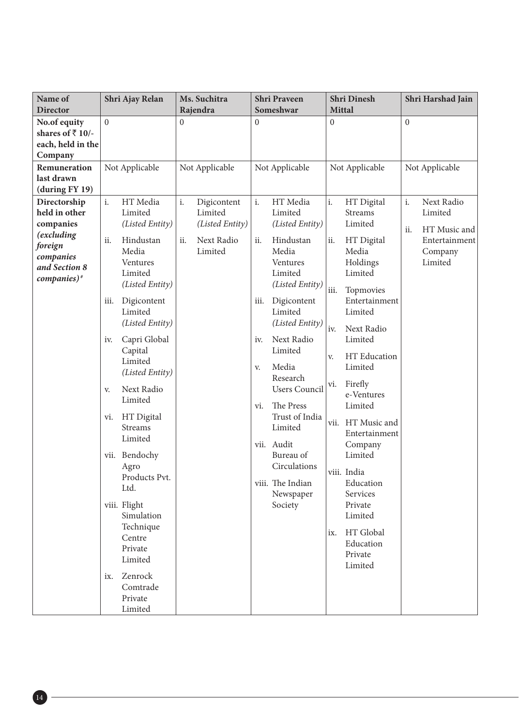| Name of<br><b>Director</b>                                         | Shri Ajay Relan                                                                 |                                                     | Ms. Suchitra<br>Rajendra |                                                         | <b>Shri Praveen</b><br>Someshwar |                                                     | Shri Dinesh<br><b>Mittal</b>                                                                         |                                                  | Shri Harshad Jain  |                                                        |
|--------------------------------------------------------------------|---------------------------------------------------------------------------------|-----------------------------------------------------|--------------------------|---------------------------------------------------------|----------------------------------|-----------------------------------------------------|------------------------------------------------------------------------------------------------------|--------------------------------------------------|--------------------|--------------------------------------------------------|
| No.of equity                                                       | $\Omega$                                                                        |                                                     | 0                        |                                                         | $\Omega$                         |                                                     | $\overline{0}$                                                                                       |                                                  | $\Omega$           |                                                        |
| shares of $\overline{5}$ 10/-<br>each, held in the<br>Company      |                                                                                 |                                                     |                          |                                                         |                                  |                                                     |                                                                                                      |                                                  |                    |                                                        |
| Remuneration<br>last drawn<br>(during FY 19)                       |                                                                                 | Not Applicable                                      |                          | Not Applicable                                          |                                  | Not Applicable                                      |                                                                                                      | Not Applicable                                   |                    | Not Applicable                                         |
| Directorship<br>held in other<br>companies<br>(excluding           | i.<br>ii.                                                                       | HT Media<br>Limited<br>(Listed Entity)<br>Hindustan | i.<br>ii.                | Digicontent<br>Limited<br>(Listed Entity)<br>Next Radio | i.<br>ii.                        | HT Media<br>Limited<br>(Listed Entity)<br>Hindustan | i.<br>ii.                                                                                            | HT Digital<br><b>Streams</b><br>Limited          | i.<br>ii.          | Next Radio<br>Limited<br>HT Music and<br>Entertainment |
| foreign<br>companies<br>and Section 8<br>$comparies)$ <sup>#</sup> |                                                                                 | Media<br>Ventures<br>Limited<br>(Listed Entity)     |                          | Limited                                                 |                                  | Media<br>Ventures<br>Limited<br>(Listed Entity)     |                                                                                                      | HT Digital<br>Media<br>Holdings<br>Limited       | Company<br>Limited |                                                        |
|                                                                    | iii.                                                                            | Digicontent<br>Limited<br>(Listed Entity)           |                          |                                                         | iii.<br>iv.<br>V.                | Digicontent<br>Limited<br>(Listed Entity)           | iii.<br>Topmovies<br>Limited<br>iv.<br>Next Radio<br>Limited<br>HT Education<br>V.<br>Limited<br>vi. | Entertainment                                    |                    |                                                        |
|                                                                    | iv.                                                                             | Capri Global<br>Capital                             |                          |                                                         |                                  | Next Radio<br>Limited                               |                                                                                                      |                                                  |                    |                                                        |
|                                                                    |                                                                                 | Limited<br>(Listed Entity)                          |                          |                                                         |                                  | Media<br>Research                                   |                                                                                                      | Firefly                                          |                    |                                                        |
|                                                                    | V.                                                                              | Next Radio<br>Limited                               |                          |                                                         | vi.                              | <b>Users Council</b><br>The Press                   |                                                                                                      | e-Ventures<br>Limited                            |                    |                                                        |
|                                                                    | HT Digital<br>vi.<br><b>Streams</b><br>Limited<br>vii. Bendochy<br>Agro<br>Ltd. |                                                     |                          |                                                         | vii. Audit                       | Trust of India<br>Limited                           | viii. India                                                                                          | vii. HT Music and<br>Entertainment               |                    |                                                        |
|                                                                    |                                                                                 |                                                     |                          |                                                         |                                  | Bureau of<br>Circulations                           |                                                                                                      | Company<br>Limited                               |                    |                                                        |
|                                                                    |                                                                                 | Products Pvt.                                       |                          |                                                         |                                  | viii. The Indian<br>Newspaper                       |                                                                                                      | Education<br>Services                            |                    |                                                        |
|                                                                    |                                                                                 | viii. Flight<br>Simulation<br>Technique             |                          |                                                         |                                  | Society                                             |                                                                                                      | Private<br>Limited                               |                    |                                                        |
|                                                                    |                                                                                 | Centre<br>Private<br>Limited                        |                          |                                                         |                                  |                                                     |                                                                                                      | ix. HT Global<br>Education<br>Private<br>Limited |                    |                                                        |
|                                                                    | ix.                                                                             | Zenrock<br>Comtrade<br>Private<br>Limited           |                          |                                                         |                                  |                                                     |                                                                                                      |                                                  |                    |                                                        |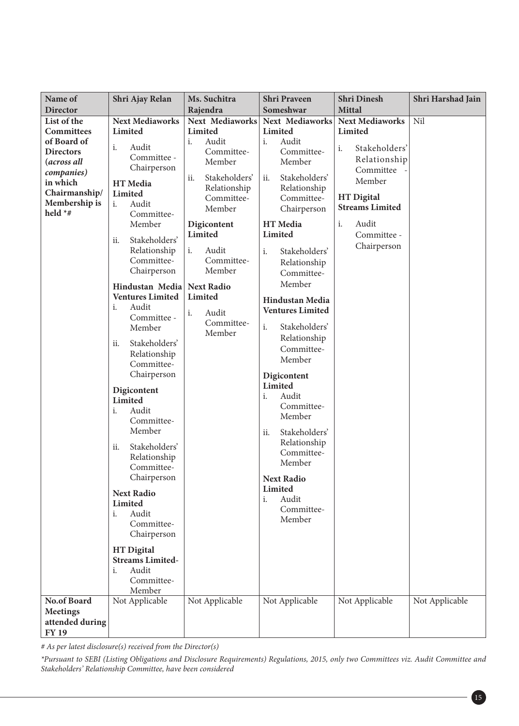| Name of<br><b>Director</b>                                                                                                                                | Shri Ajay Relan                                                                                                                                                                                                                                                                                                                                                                                                                                                                       | Ms. Suchitra<br>Rajendra                                                                                                                                                                                                                                                  | <b>Shri Praveen</b><br>Someshwar                                                                                                                                                                                                                                                                                                                                                                                                                                        | <b>Shri Dinesh</b><br><b>Mittal</b>                                                                                                                                                         | Shri Harshad Jain |
|-----------------------------------------------------------------------------------------------------------------------------------------------------------|---------------------------------------------------------------------------------------------------------------------------------------------------------------------------------------------------------------------------------------------------------------------------------------------------------------------------------------------------------------------------------------------------------------------------------------------------------------------------------------|---------------------------------------------------------------------------------------------------------------------------------------------------------------------------------------------------------------------------------------------------------------------------|-------------------------------------------------------------------------------------------------------------------------------------------------------------------------------------------------------------------------------------------------------------------------------------------------------------------------------------------------------------------------------------------------------------------------------------------------------------------------|---------------------------------------------------------------------------------------------------------------------------------------------------------------------------------------------|-------------------|
| List of the<br><b>Committees</b><br>of Board of<br><b>Directors</b><br>(across all<br>companies)<br>in which<br>Chairmanship/<br>Membership is<br>held *# | <b>Next Mediaworks</b><br>Limited<br>i.<br>Audit<br>Committee -<br>Chairperson<br>HT Media<br>Limited<br>i.<br>Audit<br>Committee-<br>Member<br>Stakeholders'<br>ii.<br>Relationship<br>Committee-<br>Chairperson<br>Hindustan Media<br><b>Ventures Limited</b><br>Audit<br>i.<br>Committee -<br>Member<br>Stakeholders'<br>ii.<br>Relationship<br>Committee-<br>Chairperson<br>Digicontent<br>Limited<br>i.<br>Audit<br>Committee-<br>Member<br>Stakeholders'<br>ii.<br>Relationship | Next Mediaworks<br>Limited<br>i.<br>Audit<br>Committee-<br>Member<br>Stakeholders'<br>ii.<br>Relationship<br>Committee-<br>Member<br>Digicontent<br>Limited<br>i.<br>Audit<br>Committee-<br>Member<br><b>Next Radio</b><br>Limited<br>Audit<br>i.<br>Committee-<br>Member | Next Mediaworks<br>Limited<br>i.<br>Audit<br>Committee-<br>Member<br>Stakeholders'<br>ii.<br>Relationship<br>Committee-<br>Chairperson<br>HT Media<br>Limited<br>i.<br>Stakeholders'<br>Relationship<br>Committee-<br>Member<br><b>Hindustan Media</b><br><b>Ventures Limited</b><br>i.<br>Stakeholders'<br>Relationship<br>Committee-<br>Member<br>Digicontent<br>Limited<br>Audit<br>i.<br>Committee-<br>Member<br>Stakeholders'<br>ii.<br>Relationship<br>Committee- | <b>Next Mediaworks</b><br>Limited<br>i.<br>Stakeholders'<br>Relationship<br>Committee<br>Member<br><b>HT</b> Digital<br><b>Streams Limited</b><br>i.<br>Audit<br>Committee -<br>Chairperson | Nil               |
| No.of Board                                                                                                                                               | Committee-<br>Chairperson<br><b>Next Radio</b><br>Limited<br>Audit<br>i.<br>Committee-<br>Chairperson<br><b>HT</b> Digital<br><b>Streams Limited-</b><br>Audit<br>i.<br>Committee-<br>Member<br>Not Applicable                                                                                                                                                                                                                                                                        | Not Applicable                                                                                                                                                                                                                                                            | Member<br><b>Next Radio</b><br>Limited<br>Audit<br>i.<br>Committee-<br>Member<br>Not Applicable                                                                                                                                                                                                                                                                                                                                                                         | Not Applicable                                                                                                                                                                              | Not Applicable    |
| <b>Meetings</b><br>attended during<br><b>FY 19</b>                                                                                                        |                                                                                                                                                                                                                                                                                                                                                                                                                                                                                       |                                                                                                                                                                                                                                                                           |                                                                                                                                                                                                                                                                                                                                                                                                                                                                         |                                                                                                                                                                                             |                   |

*# As per latest disclosure(s) received from the Director(s)*

*\*Pursuant to SEBI (Listing Obligations and Disclosure Requirements) Regulations, 2015, only two Committees viz. Audit Committee and Stakeholders' Relationship Committee, have been considered*